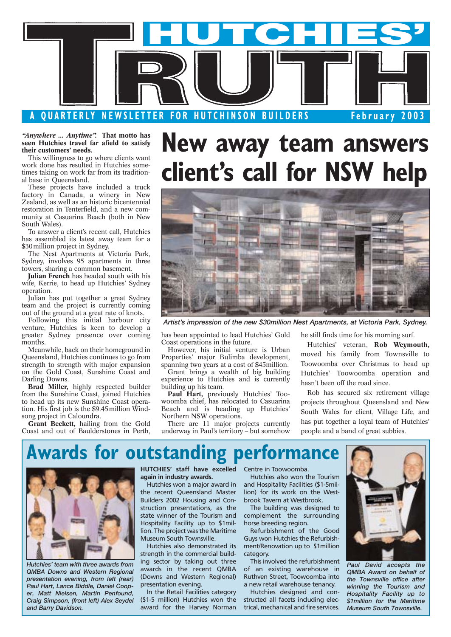

*"Anywhere ... Anytime".* **That motto has seen Hutchies travel far afield to satisfy their customers' needs.**

This willingness to go where clients want work done has resulted in Hutchies sometimes taking on work far from its traditional base in Queensland.

These projects have included a truck factory in Canada, a winery in New Zealand, as well as an historic bicentennial restoration in Tenterfield, and a new community at Casuarina Beach (both in New South Wales).

To answer a client's recent call, Hutchies has assembled its latest away team for a \$30 million project in Sydney.

The Nest Apartments at Victoria Park, Sydney, involves 95 apartments in three towers, sharing a common basement.

**Julian French** has headed south with his wife, Kerrie, to head up Hutchies' Sydney operation.

Julian has put together a great Sydney team and the project is currently coming out of the ground at a great rate of knots.

Following this initial harbour city venture, Hutchies is keen to develop a greater Sydney presence over coming months.

Meanwhile, back on their homeground in Queensland, Hutchies continues to go from strength to strength with major expansion on the Gold Coast, Sunshine Coast and Darling Downs.

**Brad Miller,** highly respected builder from the Sunshine Coast, joined Hutchies to head up its new Sunshine Coast operation. His first job is the \$9.45million Windsong project in Caloundra.

**Grant Beckett,** hailing from the Gold Coast and out of Baulderstones in Perth,

# **New away team answers client's call for NSW help**



*Artist's impression of the new \$30million Nest Apartments, at Victoria Park, Sydney.*

has been appointed to lead Hutchies' Gold Coast operations in the future.

However, his initial venture is Urban Properties' major Bulimba development, spanning two years at a cost of \$45million.

Grant brings a wealth of big building experience to Hutchies and is currently building up his team.

**Paul Hart,** previously Hutchies' Toowoomba chief, has relocated to Casuarina Beach and is heading up Hutchies' Northern NSW operations.

There are 11 major projects currently underway in Paul's territory – but somehow he still finds time for his morning surf.

Hutchies' veteran, **Rob Weymouth,** moved his family from Townsville to Toowoomba over Christmas to head up Hutchies' Toowoomba operation and hasn't been off the road since.

Rob has secured six retirement village projects throughout Queensland and New South Wales for client, Village Life, and has put together a loyal team of Hutchies' people and a band of great subbies.

# **Awards for outstanding performance**



*Hutchies' team with three awards from QMBA Downs and Western Regional presentation evening, from left (rear) Paul Hart, Lance Biddle, Daniel Cooper, Matt Nielsen, Martin Penfound, Craig Simpson, (front left) Alex Seydel and Barry Davidson.*

**HUTCHIES' staff have excelled** Centre in Toowoomba. **again in industry awards.**

Hutchies won a major award in the recent Queensland Master Builders 2002 Housing and Construction presentations, as the state winner of the Tourism and Hospitality Facility up to \$1million. The project was the Maritime Museum South Townsville.

Hutchies also demonstrated its strength in the commercial building sector by taking out three awards in the recent QMBA (Downs and Western Regional) presentation evening.

In the Retail Facilities category (\$1-5 million) Hutchies won the award for the Harvey Norman

Hutchies also won the Tourism and Hospitality Facilities (\$1-5million) for its work on the Westbrook Tavern at Westbrook.

The building was designed to complement the surrounding horse breeding region.

Refurbishment of the Good Guys won Hutchies the Refurbishment/Renovation up to \$1million category.

This involved the refurbishment of an existing warehouse in Ruthven Street, Toowoomba into a new retail warehouse tenancy.

Hutchies designed and constructed all facets including electrical, mechanical and fire services.



*Paul David accepts the QMBA Award on behalf of the Townsville office after winning the Tourism and Hospitality Facility up to \$1million for the Maritime Museum South Townsville.*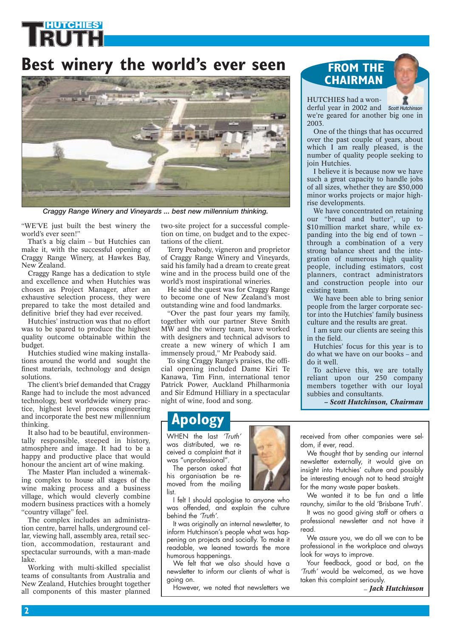## **Best winery the world's ever seen**



*Craggy Range Winery and Vineyards ... best new millennium thinking.*

"WE'VE just built the best winery the world's ever seen!"

That's a big claim – but Hutchies can make it, with the successful opening of Craggy Range Winery, at Hawkes Bay, New Zealand.

Craggy Range has a dedication to style and excellence and when Hutchies was chosen as Project Manager, after an exhaustive selection process, they were prepared to take the most detailed and definitive brief they had ever received.

Hutchies' instruction was that no effort was to be spared to produce the highest quality outcome obtainable within the budget.

Hutchies studied wine making installations around the world and sought the finest materials, technology and design solutions.

The client's brief demanded that Craggy Range had to include the most advanced technology, best worldwide winery practice, highest level process engineering and incorporate the best new millennium thinking.

It also had to be beautiful, environmentally responsible, steeped in history, atmosphere and image. It had to be a happy and productive place that would honour the ancient art of wine making.

The Master Plan included a winemaking complex to house all stages of the wine making process and a business village, which would cleverly combine modern business practices with a homely "country village" feel.

The complex includes an administration centre, barrel halls, underground cellar, viewing hall, assembly area, retail section, accommodation, restaurant and spectacular surrounds, with a man-made lake.

Working with multi-skilled specialist teams of consultants from Australia and New Zealand, Hutchies brought together all components of this master planned

two-site project for a successful completion on time, on budget and to the expectations of the client.

Terry Peabody, vigneron and proprietor of Craggy Range Winery and Vineyards, said his family had a dream to create great wine and in the process build one of the world's most inspirational wineries.

He said the quest was for Craggy Range to become one of New Zealand's most outstanding wine and food landmarks.

"Over the past four years my family, together with our partner Steve Smith MW and the winery team, have worked with designers and technical advisors to create a new winery of which I am immensely proud," Mr Peabody said.

To sing Craggy Range's praises, the official opening included Dame Kiri Te Kanawa, Tim Finn, international tenor Patrick Power, Auckland Philharmonia and Sir Edmund Hilliary in a spectacular night of wine, food and song.

## **Apology**

WHEN the last *'Truth'* was distributed, we received a complaint that it was "unprofessional".

The person asked that his organisation be removed from the mailing list.

I felt I should apologise to anyone who was offended, and explain the culture behind the *'Truth'*.

It was originally an internal newsletter, to inform Hutchinson's people what was happening on projects and socially. To make it readable, we leaned towards the more humorous happenings.

We felt that we also should have a newsletter to inform our clients of what is going on.

However, we noted that newsletters we

### **FROM THE CHAIRMAN**

#### HUTCHIES had a won-

derful year in 2002 and *Scott Hutchinson* we're geared for another big one in 2003.

One of the things that has occurred over the past couple of years, about which I am really pleased, is the number of quality people seeking to join Hutchies.

I believe it is because now we have such a great capacity to handle jobs of all sizes, whether they are \$50,000 minor works projects or major highrise developments.

We have concentrated on retaining our "bread and butter", up to \$10 million market share, while expanding into the big end of town – through a combination of a very strong balance sheet and the integration of numerous high quality people, including estimators, cost planners, contract administrators and construction people into our existing team.

We have been able to bring senior people from the larger corporate sector into the Hutchies' family business culture and the results are great.

I am sure our clients are seeing this in the field.

Hutchies' focus for this year is to do what we have on our books – and do it well.

To achieve this, we are totally reliant upon our 250 company members together with our loyal subbies and consultants.

*– Scott Hutchinson, Chairman*

received from other companies were seldom, if ever, read.

We thought that by sending our internal newsletter externally, it would give an insight into Hutchies' culture and possibly be interesting enough not to head straight for the many waste paper baskets.

We wanted it to be fun and a little raunchy, similar to the old 'Brisbane Truth'.

It was no good giving staff or others a professional newsletter and not have it read.

We assure you, we do all we can to be professional in the workplace and always look for ways to improve.

Your feedback, good or bad, on the *'Truth'* would be welcomed, as we have taken this complaint seriously.

– *Jack Hutchinson*

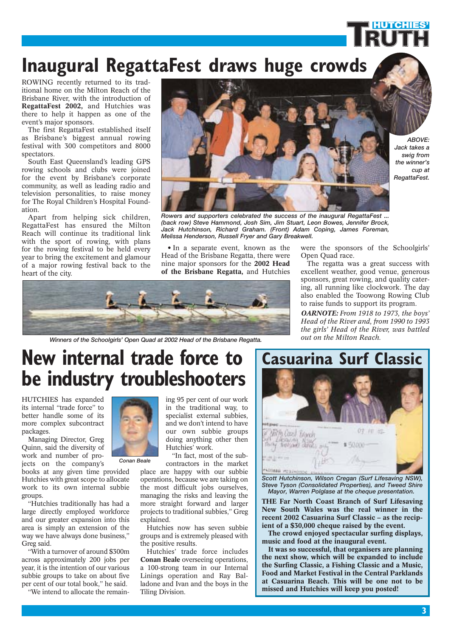# **Inaugural RegattaFest draws huge crowds**

ROWING recently returned to its traditional home on the Milton Reach of the Brisbane River, with the introduction of **RegattaFest 2002,** and Hutchies was there to help it happen as one of the event's major sponsors.

The first RegattaFest established itself as Brisbane's biggest annual rowing festival with 300 competitors and 8000 spectators.

South East Queensland's leading GPS rowing schools and clubs were joined for the event by Brisbane's corporate community, as well as leading radio and television personalities, to raise money for The Royal Children's Hospital Foundation.

Apart from helping sick children, RegattaFest has ensured the Milton Reach will continue its traditional link with the sport of rowing, with plans for the rowing festival to be held every year to bring the excitement and glamour of a major rowing festival back to the heart of the city.



*ABOVE: Jack takes a swig from the winner's cup at RegattaFest.*

**HUTCHIES'**

*Rowers and supporters celebrated the success of the inaugural RegattaFest ... (back row) Steve Hammond, Josh Sim, Jim Stuart, Leon Bowes, Jennifer Brock, Jack Hutchinson, Richard Graham. (Front) Adam Coping, James Foreman, Melissa Henderson, Russell Fryer and Gary Breakwell.*

• In a separate event, known as the Head of the Brisbane Regatta, there were nine major sponsors for the **2002 Head of the Brisbane Regatta,** and Hutchies



*Winners of the Schoolgirls' Open Quad at 2002 Head of the Brisbane Regatta.*

were the sponsors of the Schoolgirls' Open Quad race.

The regatta was a great success with excellent weather, good venue, generous sponsors, great rowing, and quality catering, all running like clockwork. The day also enabled the Toowong Rowing Club to raise funds to support its program.

*OARNOTE: From 1918 to 1973, the boys' Head of the River and, from 1990 to 1993 the girls' Head of the River, was battled out on the Milton Reach.*

# **New internal trade force to be industry troubleshooters**

HUTCHIES has expanded its internal "trade force" to better handle some of its more complex subcontract packages.

Managing Director, Greg Quinn, said the diversity of work and number of projects on the company's

books at any given time provided Hutchies with great scope to allocate work to its own internal subbie groups.

"Hutchies traditionally has had a large directly employed workforce and our greater expansion into this area is simply an extension of the way we have always done business," Greg said.

"With a turnover of around \$300m across approximately 200 jobs per year, it is the intention of our various subbie groups to take on about five per cent of our total book," he said.

"We intend to allocate the remain-



*Conan Beale*

and we don't intend to have our own subbie groups doing anything other then Hutchies' work. "In fact, most of the subcontractors in the market

ing 95 per cent of our work in the traditional way, to specialist external subbies,

place are happy with our subbie operations, because we are taking on the most difficult jobs ourselves, managing the risks and leaving the more straight forward and larger projects to traditional subbies," Greg explained.

Hutchies now has seven subbie groups and is extremely pleased with the positive results.

Hutchies' trade force includes **Conan Beale** overseeing operations, a 100-strong team in our Internal Linings operation and Ray Balladone and Ivan and the boys in the Tiling Division.



*Scott Hutchinson, Wilson Cregan (Surf Lifesaving NSW), Steve Tyson (Consolidated Properties), and Tweed Shire Mayor, Warren Polglase at the cheque presentation.*

**THE Far North Coast Branch of Surf Lifesaving New South Wales was the real winner in the recent 2002 Casuarina Surf Classic – as the recipient of a \$30,000 cheque raised by the event.**

**The crowd enjoyed spectacular surfing displays, music and food at the inaugural event.**

**It was so successful, that organisers are planning the next show, which will be expanded to include the Surfing Classic, a Fishing Classic and a Music, Food and Market Festival in the Central Parklands at Casuarina Beach. This will be one not to be missed and Hutchies will keep you posted!**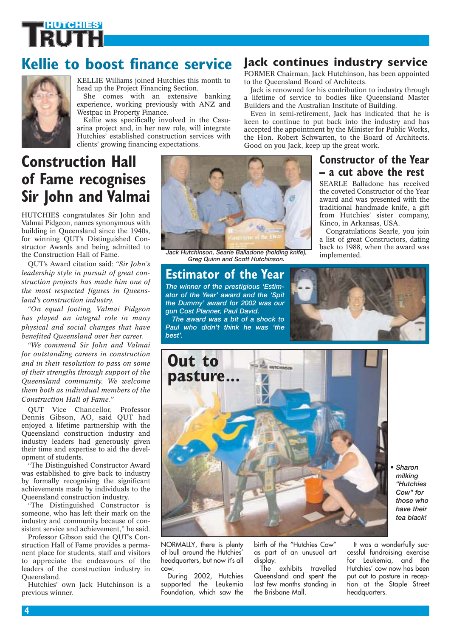## **Kellie to boost finance service Jack continues industry service**



KELLIE Williams joined Hutchies this month to head up the Project Financing Section.

She comes with an extensive banking experience, working previously with ANZ and Westpac in Property Finance.

Kellie was specifically involved in the Casuarina project and, in her new role, will integrate Hutchies' established construction services with clients' growing financing expectations.

# **Construction Hall of Fame recognises Sir John and Valmai**

HUTCHIES congratulates Sir John and Valmai Pidgeon, names synonymous with building in Queensland since the 1940s, for winning QUT's Distinguished Constructor Awards and being admitted to the Construction Hall of Fame.

QUT's Award citation said: *"Sir John's leadership style in pursuit of great construction projects has made him one of the most respected figures in Queensland's construction industry.*

*"On equal footing, Valmai Pidgeon has played an integral role in many physical and social changes that have benefited Queensland over her career.*

*"We commend Sir John and Valmai for outstanding careers in construction and in their resolution to pass on some of their strengths through support of the Queensland community. We welcome them both as individual members of the Construction Hall of Fame."*

QUT Vice Chancellor, Professor Dennis Gibson, AO, said QUT had enjoyed a lifetime partnership with the Queensland construction industry and industry leaders had generously given their time and expertise to aid the development of students.

"The Distinguished Constructor Award was established to give back to industry by formally recognising the significant achievements made by individuals to the Queensland construction industry.

"The Distinguished Constructor is someone, who has left their mark on the industry and community because of consistent service and achievement," he said.

Professor Gibson said the QUT's Construction Hall of Fame provides a permanent place for students, staff and visitors to appreciate the endeavours of the leaders of the construction industry in Queensland.

Hutchies' own Jack Hutchinson is a previous winner.



*Jack Hutchinson, Searle Balladone (holding knife), Greg Quinn and Scott Hutchinson.*

### **Estimator of the Year**

*The winner of the prestigious 'Estimator of the Year' award and the 'Spit the Dummy' award for 2002 was our gun Cost Planner, Paul David.* 

*The award was a bit of a shock to Paul who didn't think he was 'the best'.*

FORMER Chairman, Jack Hutchinson, has been appointed to the Queensland Board of Architects.

Jack is renowned for his contribution to industry through a lifetime of service to bodies like Queensland Master Builders and the Australian Institute of Building.

Even in semi-retirement, Jack has indicated that he is keen to continue to put back into the industry and has accepted the appointment by the Minister for Public Works, the Hon. Robert Schwarten, to the Board of Architects. Good on you Jack, keep up the great work.

### **Constructor of the Year – a cut above the rest**

SEARLE Balladone has received the coveted Constructor of the Year award and was presented with the traditional handmade knife, a gift from Hutchies' sister company, Kinco, in Arkansas, USA.

Congratulations Searle, you join a list of great Constructors, dating back to 1988, when the award was implemented.





*• Sharon milking "Hutchies Cow" for those who have their tea black!*

NORMALLY, there is plenty of bull around the Hutchies' headquarters, but now it's all cow.

During 2002, Hutchies supported the Leukemia Foundation, which saw the

birth of the "Hutchies Cow" as part of an unusual art display.

The exhibits travelled Queensland and spent the last few months standing in the Brisbane Mall.

It was a wonderfully successful fundraising exercise for Leukemia, and the Hutchies' cow now has been put out to pasture in reception at the Staple Street headquarters.

**4**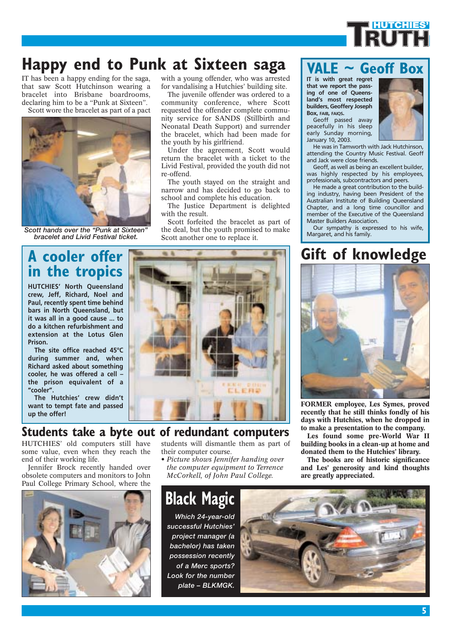

# **Happy end to Punk at Sixteen saga**

IT has been a happy ending for the saga, that saw Scott Hutchinson wearing a bracelet into Brisbane boardrooms, declaring him to be a "Punk at Sixteen". Scott wore the bracelet as part of a pact



Scott hands over the "Punk at Sixteen" *bracelet and Livid Festival ticket.*

## **A cooler offer in the tropics**

**HUTCHIES' North Queensland crew, Jeff, Richard, Noel and Paul, recently spent time behind bars in North Queensland, but it was all in a good cause ... to do a kitchen refurbishment and extension at the Lotus Glen Prison.**

**The site office reached 45°C during summer and, when Richard asked about something cooler, he was offered a cell – the prison equivalent of a "cooler".**

**The Hutchies' crew didn't want to tempt fate and passed up the offer!**

### **Students take a byte out of redundant computers**

HUTCHIES' old computers still have some value, even when they reach the end of their working life.

Jennifer Brock recently handed over obsolete computers and monitors to John Paul College Primary School, where the



with a young offender, who was arrested for vandalising a Hutchies' building site.

The juvenile offender was ordered to a community conference, where Scott requested the offender complete community service for SANDS (Stillbirth and Neonatal Death Support) and surrender the bracelet, which had been made for the youth by his girlfriend.

Under the agreement, Scott would return the bracelet with a ticket to the Livid Festival, provided the youth did not re-offend.

The youth stayed on the straight and narrow and has decided to go back to school and complete his education.

The Justice Department is delighted with the result.

Scott forfeited the bracelet as part of the deal, but the youth promised to make Scott another one to replace it.



students will dismantle them as part of their computer course.

*• Picture shows Jennifer handing over the computer equipment to Terrence McCorkell, of John Paul College.*

# **Black Magic**

*Which 24-year-old successful Hutchies' project manager (a bachelor) has taken possession recently of a Merc sports? Look for the number plate – BLKMGK.*



**VALE ~ Geoff Box** 

**IT is with great regret that we report the passing of one of Queensland's most respected builders, Geoffery Joseph Box, FAIB, FAIQS.**

Geoff passed away peacefully in his sleep early Sunday morning, January 10, 2003.



He was in Tamworth with Jack Hutchinson, attending the Country Music Festival. Geoff and Jack were close friends.

Geoff, as well as being an excellent builder, was highly respected by his employees, professionals, subcontractors and peers.

He made a great contribution to the building industry, having been President of the Australian Institute of Building Queensland Chapter, and a long time councillor and member of the Executive of the Queensland Master Builders Association.

Our sympathy is expressed to his wife,<br>Margaret, and his family.

## **Gift of knowledge**



**FORMER employee, Les Symes, proved recently that he still thinks fondly of his days with Hutchies, when he dropped in to make a presentation to the company.**

**Les found some pre-World War II building books in a clean-up at home and donated them to the Hutchies' library.**

**The books are of historic significance and Les' generosity and kind thoughts**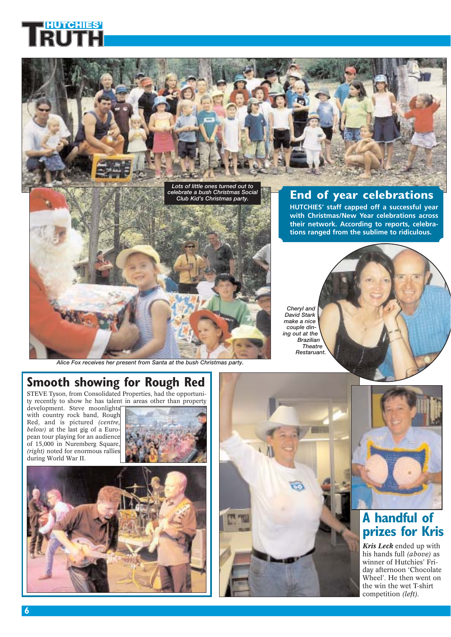

*Alice Fox receives her present from Santa at the bush Christmas party.*

*Restaruant.*

# **Smooth showing for Rough Red**

STEVE Tyson, from Consolidated Properties, had the opportunity recently to show he has talent in areas other than property

development. Steve moonlights with country rock band, Rough Red, and is pictured *(centre, below)* at the last gig of a European tour playing for an audience of 15,000 in Nuremberg Square, *(right)* noted for enormous rallies during World War II.









### **A handful of prizes for Kris**

*Kris Leck* ended up with his hands full *(above)* as winner of Hutchies' Friday afternoon 'Chocolate Wheel'. He then went on the win the wet T-shirt competition *(left).*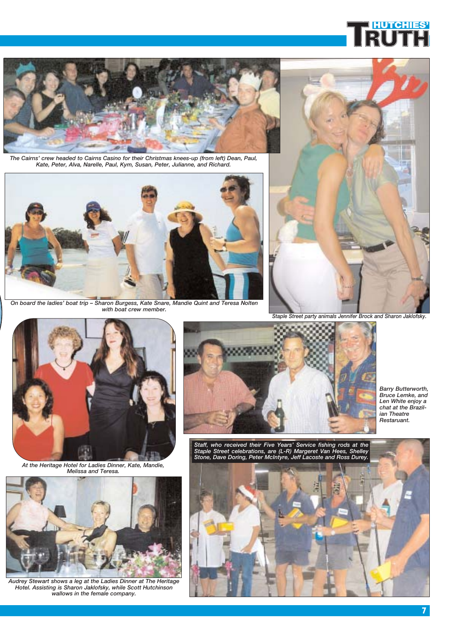

*The Cairns' crew headed to Cairns Casino for their Christmas knees-up (from left) Dean, Paul, Kate, Peter, Alva, Narelle, Paul, Kym, Susan, Peter, Julianne, and Richard.*



*On board the ladies' boat trip – Sharon Burgess, Kate Snare, Mandie Quint and Teresa Nolten with boat crew member.*



*Staple Street party animals Jennifer Brock and Sharon Jaklofsky.*



*At the Heritage Hotel for Ladies Dinner, Kate, Mandie, Melissa and Teresa.*



*Audrey Stewart shows a leg at the Ladies Dinner at The Heritage Hotel. Assisting is Sharon Jaklofsky, while Scott Hutchinson wallows in the female company.*



*Barry Butterworth, Bruce Lemke, and Len White enjoy a chat at the Brazilian Theatre Restaruant.*

*Staff, who received their Five Years' Service fishing rods at the Staple Street celebrations, are (L-R) Margeret Van Hees, Shelley Stone, Dave Doring, Peter McIntyre, Jeff Lacoste and Ross Durey.*



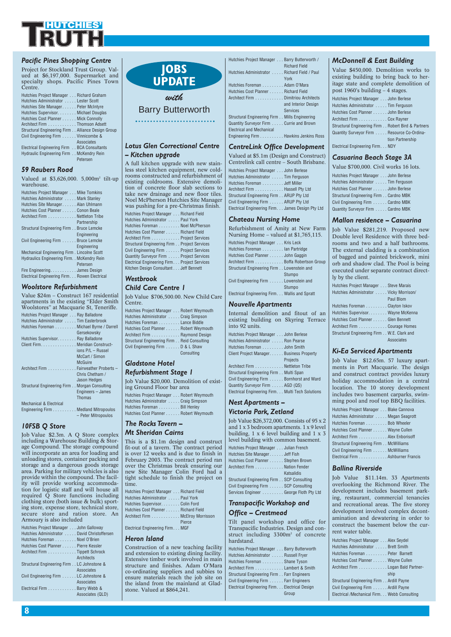

#### *Pacific Pines Shopping Centre*

Project for Stockland Trust Group. Valued at \$6,197,000. Supermarket and ued at \$6,197,000. Supermarket and specialty shops. Pacific Pines Town Centre.

| Hutchies Project Manager Richard Graham           |
|---------------------------------------------------|
| Hutchies Administrator Lester Scott               |
| Hutchies Site Manager Peter McIntyre              |
| Hutchies Supervisor. Michael Douglas              |
| Hutchies Cost Planner Mick Connolly               |
| Architect Firm Thomson Adsett                     |
| Structural Engineering Firm Alliance Design Group |
| Civil Engineering Firm Vinnicombe &               |
| Associates                                        |
| Electrical Engineering Firm BCA Consultants       |
| Hydraulic Engineering Firm McKendry Rein          |

#### *59 Raubers Road*

Valued at \$3,626,000. 5,000m2 tilt-up warehouse.

Petersen

| Hutchies Project Manager Mike Tomkins        |
|----------------------------------------------|
| Hutchies Administrator Mark Stanley          |
| Hutchies Site Manager Alan Uhlmann           |
| Hutchies Cost Planner Conon Beale            |
| Architect Firm Nettleton Tribe               |
| Partnership                                  |
| Structural Engineering Firm Bruce Lemcke     |
| Engineering                                  |
| Civil Engineering Firm Bruce Lemcke          |
| Engineering                                  |
| Mechanical Engineering Firm. Lincolne Scott  |
| Hydraulics Engineering Firm. . McKendry Rein |
| Petersen                                     |
| Fire EngineeringJames Design                 |
| Electrical Engineering Firm Rowen Electrical |

#### *Woolstore Refurbishment*

Value \$24m – Construct 167 residential apartments in the existing "Elder Smith Woolstores" at Macquarie St, Teneriffe. Hutchies Project Manager . . . Ray Balladone Hutchies Administrator . . . . . Tim Easterbrook Hutchies Foreman . . . . . . . . . Michael Byrne / Darrell Gersekowsky Hutchies Supervisor. . . . . . . . Ray Balladone Client Firm. . . . . . . . . . . . . . . Meridian Constructions P/L – Russel McCart / Simon McGuire Architect Firm . . . . . . . . . . . . Fairweather Proberts – Chris Chetham / Jason Hedges Structural Engineering Firm . . Morgan Consulting Engineers – James Thomas Mechanical & Electrical Engineering Firm . . . . . . . . . . Medland Mitropoulos – Peter Mitropoulos

#### *10FSB Q Store*

Job Value \$2.3m. A Q Store complex including a Warehouse Building & Storage Compound. The storage compound will incorporate an area for loading and unloading stores, container packing and storage and a dangerous goods storage area. Parking for military vehicles is also provide within the compound. The facility will provide working accommodation for logistic staff and will house all required Q Store functions including clothing store (both issue & bulk) sporting store, expense store, technical store, secure store and ration store. An Armoury is also included

| Hutchies Project Manager John Galloway      |
|---------------------------------------------|
| Hutchies Administrator David Christoffersen |
| Hutchies Foreman Noel O'Brien               |
| Hutchies Cost Planner Pierre Kessler        |
| Architect Firm Tippett Schrock              |
| Architects                                  |
| Structural Engineering Firm LC Johnstone &  |
| Associates                                  |
| Civil Engineering Firm LC Johnstone &       |
| Associates                                  |
| Electrical Firm Barry Webb &                |
| Associates (QLD)                            |
|                                             |

### **JOBS UPDATE**

### *with* Barry Butterworth

#### *Lotus Glen Correctional Centre – Kitchen upgrade*

A full kitchen upgrade with new stainless steel kitchen equipment, new coldrooms constructed and refurbishment of existing coldrooms. Extensive demolition of concrete floor slab sections to take new drainage and new floor tiles. Noel McPherson Hutchies Site Manager was pushing for a pre-Christmas finish.

| Hutchies Project Manager Richard Field        |
|-----------------------------------------------|
| Hutchies Administrator Paul York              |
| Hutchies Foreman Noel McPherson               |
| Hutchies Cost Planner Richard Field           |
| Architect Firm Project Services               |
| Structural Engineering Firm Project Services  |
| Civil Engineering Firm Project Services       |
| Quantity Surveyor Firm Project Services       |
| Electrical Engineering Firm. Project Services |
| Kitchen Design Consultant Jeff Bennett        |

#### *Westbrook Child Care Centre 1*

Job Value \$706,500.00. New Centre.

| Hutchies Project Manager Robert Weymouth    |  |
|---------------------------------------------|--|
| Hutchies Administrator  Craig Simpson       |  |
| Hutchies Foreman Lance Biddle               |  |
| Hutchies Cost Planner Robert Weymouth       |  |
| Architect Firm Raymond Design               |  |
| Structural Engineering Firm Reid Consulting |  |
| Civil Engineering Firm D & L Shaw           |  |
| Consultina                                  |  |

### *Gladstone Hotel*

#### *Refurbishment Stage 1*

Job Value \$20,000. Demolition of existing Ground Floor bar area Hutchies Project Manager . . . Robert Weymouth Hutchies Administrator . . . . . Craig Simpson Hutchies Foreman . . . . . . . . . Bill Henley Hutchies Cost Planner . . . . . . Robert Weymouth

#### *The Rocks Tavern – Mt Sheridan Cairns*

This is a \$1.1m design and construct fit-out of a tavern. The contract period is over 12 weeks and is due to finish in February 2003. The contract period ran over the Christmas break ensuring our new Site Manager Colin Ford had a tight schedule to finish the project on time

| Hutchies Project Manager Richard Field |        |
|----------------------------------------|--------|
| Hutchies Administrator  Paul York      |        |
| Hutchies Supervisor. Colin Ford        |        |
| Hutchies Cost Planner Richard Field    |        |
| Architect Firm McElroy Morrisson       |        |
|                                        | Pierce |
|                                        |        |

ctrical Engineering Firm. . . MGF

#### *Heron Island*

Construction of a new teaching facility and extension to existing dining facility. Extensive timber work involved in main structure and finishes. Adam O'Mara co-ordinating suppliers and subbies to ensure materials reach the job site on the island from the mainland at Gladstone. Valued at \$864,241.

| <b>Richard Field</b>                          |
|-----------------------------------------------|
| Hutchies Administrator  Richard Field / Paul  |
| York                                          |
| Hutchies Foreman Adam O'Mara                  |
| Hutchies Cost Planner Richard Field           |
| Architect Firm Dimitriou Architects           |
| and Interior Design                           |
| <b>Services</b>                               |
| Structural Engineering Firm Mills Engineering |
| Quantity Surveyor Firm Currie and Brown       |
| <b>Electrical and Mechanical</b>              |
| Engineering Firm Hawkins Jenkins Ross         |
|                                               |
| <b>CentreLink Office Development</b>          |
| Valued at \$5.1m (Design and Construct)       |
| Centrelink call centre – South Brisbane.      |
| Hutchies Project Manager John Berlese         |
|                                               |
| Hutchies Administrator  Tim Ferguson          |
| Hutchies Foreman Jeff Miller                  |
| Architect Firm Hassell Pty Ltd                |

Hutchies Project Manager . . . Barry Butterworth /

#### *Chateau Nursing Home*

Structural Engineering Firm . . ARUP Pty Ltd Civil Engineering Firm . . . . . . ARUP Pty Ltd Electrical Engineering Firm. . . James Design Pty Ltd

| Refurbishment of Amity at New Farm<br>Nursing Home – valued at $$1,765,115$ . |
|-------------------------------------------------------------------------------|
| Hutchies Project Manager Kris Leck                                            |
| Hutchies Foreman lan Partridge                                                |
| Hutchies Cost Planner John Gaggin                                             |
| Architect Firm Boffa Robertson Group                                          |
| Structural Engineering Firm Lowenstein and                                    |
| Stumpo                                                                        |
| Civil Engineering Firm Lowenstein and                                         |
| Stumpo                                                                        |
| Electrical Engineering Firm Wallis and Spratt                                 |

#### *Nouvelle Apartments*

rnal demolition and fitout of an ing building on Skyring Terrace  $92$  units. hies Project Manager . . . John Berlese ies Administrator . . . . . Ron Pearse Hutchies Foreman . . . . . . . . . John Smith Client Project Manager. . . . . . Business Property **Projects** Architect Firm . . . . . . . . . . . . Nettleton Tribe Structural Engineering Firm . . Multi Span

Civil Engineering Firm . . . . . . Bornhorst and Ward Quantity Surveyor Firm . . . . . AGD (QS) Electrical Engineering Firm. . . Multi Tech Solutions

#### *Nest Apartments – Victoria Park, Zetland*

Job Value \$26,372,000. Consists of 95 x 2 and 1 x 3 bedroom apartments. 1 x 9 level building, 1 x 6 level building and 1 x 3 level building with common basement. Hutchies Project Manager . . . Julian French Hutchies Site Manager. . . . . . Jeff Fish Hutchies Cost Planner . . . . . . Stephen Brown Architect Firm . . . . . . . . . . . . Nation Fender Katsalidis Structural Engineering Firm . . SCP Consulting Civil Engineering Firm . . . . . . SCP Consulting Services Engineer . . . . . . . . . George Floth Pty Ltd

#### *Transpacific Workshop and Office – Crestmead*

Tilt panel workshop and office for Transpacific Industries. Design and construct including 3300m<sup>2</sup> of concrete hardstand.

| Hutchies Project Manager Barry Butterworth    |
|-----------------------------------------------|
| Hutchies Administrator  Russell Fryer         |
| Hutchies Foreman Shane Tyson                  |
| Architect Firm Lambert & Smith                |
| Structural Engineering Firm Farr Engineers    |
| Civil Engineering Firm Farr Engineers         |
| Electrical Engineering Firm Electrical Design |
| Group                                         |

#### *McDonnell & East Building*

Value \$450,000. Demolition works to existing building to bring back to heritage state and complete demolition of post 1960's building – 4 stages.

| Hutchies Project Manager John Berlese              |
|----------------------------------------------------|
| Hutchies Administrator  Tim Ferguson               |
| Hutchies Cost Planner John Berlese                 |
| Architect Firm Cox Rayner                          |
| Structural Engineering Firm Robert Bird & Partners |
| Quantity Surveyor Firm Resource Co-Ordina-         |
| tion Partnership                                   |
| Electrical Engineering Firm NDY                    |
|                                                    |

#### *Casuarina Beach Stage 3A*

Value \$700,000. Civil works 16 lots.

| Hutchies Project Manager John Berlese  |
|----------------------------------------|
| Hutchies Administrator  Tim Ferguson   |
| Hutchies Cost Planner John Berlese     |
| Structural Engineering Firm Cardno MBK |
| Civil Engineering Firm Cardno MBK      |
| Quantity Surveyor Firm Cardno MBK      |
|                                        |

#### *Mallon residence – Casuarina*

Job Value \$281,219. Proposed new Double level Residence with three bedrooms and two and a half bathrooms. The external cladding is a combination of bagged and painted brickwork, mini orb and shadow clad. The Pool is being executed under separate contract directly by the client.

| Hutchies Project Manager Steve Marais      |
|--------------------------------------------|
| Hutchies Administrator  Vicky Morrison/    |
| Paul Blom                                  |
| Hutchies Foreman Clayton Iskov             |
| Hutchies Supervisor. Wayne McKenna         |
| Hutchies Cost Planner Glen Bennett         |
| Architect Firm Courage Homes               |
| Structural Engineering Firm W.E. Clark and |
| Associates                                 |
|                                            |

#### *Ki-Ea Serviced Apartments*

Job Value \$12.65m. 57 luxury apartments in Port Macquarie. The design and construct contract provides luxury holiday accommodation in a central location. The 10 storey development includes two basement carparks, swimming pool and roof top BBQ facilities.

| Hutchies Project Manager Blake Cannova |
|----------------------------------------|
| Hutchies Administrator  Megan Seagrott |
| Hutchies Foreman Bob Wheeler           |
| Hutchies Cost Planner Wayne Cullen     |
| Architect Firm Alex Enborisoff         |
| Structural Engineering Firm McWilliams |
| Civil Engineering Firm McWilliams      |
| Electrical Firm Ashburner Francis      |

#### *Ballina Riverside*

Job Value \$11.14m. 33 Apartments overlooking the Richmond River. The development includes basement parking, restaurant, commercial tenancies and recreational areas. The five storey development involved complex decontamination and dewatering in order to construct the basement below the current water table.

| Hutchies Project Manager Alex Seydel         |
|----------------------------------------------|
|                                              |
| Hutchies Administrator Brett Smith           |
| Hutchies Foreman Peter Barnett               |
| Hutchies Cost Planner Wayne Cullen           |
| Architect Firm Logan Bald Partner-           |
| ship                                         |
| Structural Engineering Firm Ardill Payne     |
| Civil Engineering Firm Ardill Payne          |
| Electrical /Mechanical Firm. Webb Consulting |
|                                              |

| 96,500.00. New Child Care                                                                                                                                                                                                                                                                                                          |       |
|------------------------------------------------------------------------------------------------------------------------------------------------------------------------------------------------------------------------------------------------------------------------------------------------------------------------------------|-------|
|                                                                                                                                                                                                                                                                                                                                    | Not   |
| Manager Robert Weymouth                                                                                                                                                                                                                                                                                                            |       |
| rator  Craig Simpson                                                                                                                                                                                                                                                                                                               | Inter |
| Lance Biddle                                                                                                                                                                                                                                                                                                                       | exist |
| nner Robert Weymouth                                                                                                                                                                                                                                                                                                               | into  |
| Raymond Design                                                                                                                                                                                                                                                                                                                     | Hutch |
| rina Firm Reid Consultina                                                                                                                                                                                                                                                                                                          | Hutch |
| $\mathbb{R}$ $\mathbb{R}$ $\mathbb{R}$ $\mathbb{R}$ $\mathbb{R}$ $\mathbb{R}$ $\mathbb{R}$ $\mathbb{R}$ $\mathbb{R}$ $\mathbb{R}$ $\mathbb{R}$ $\mathbb{R}$ $\mathbb{R}$ $\mathbb{R}$ $\mathbb{R}$ $\mathbb{R}$ $\mathbb{R}$ $\mathbb{R}$ $\mathbb{R}$ $\mathbb{R}$ $\mathbb{R}$ $\mathbb{R}$ $\mathbb{R}$ $\mathbb{R}$ $\mathbb{$ |       |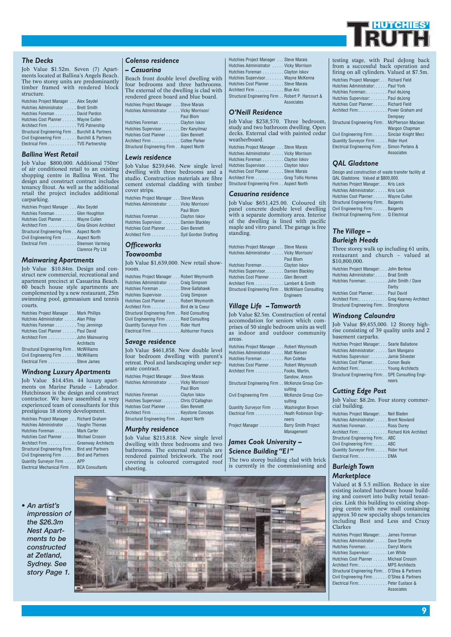

#### *The Decks*

Job Value \$1.52m. Seven (7) Apartments located at Ballina's Angels Beach. The two storey units are predominantly timber framed with rendered block structure.

| Hutchies Project Manager Alex Seydel            |
|-------------------------------------------------|
| Hutchies Administrator Brett Smith              |
| Hutchies Foreman David Pardon                   |
| Hutchies Cost Planner Wayne Cullen              |
| Architect Firm TVS Patnership                   |
| Structural Engineering Firm Burchill & Partners |
| Civil Engineering Firm Burchill & Partners      |
| Electrical Firm TVS Partnership                 |

#### *Ballina West Retail*

Job Value \$800,000. Additional 750m2 of air conditioned retail to an existing shopping centre in Ballina West. The design and construct contract includes tenancy fitout. As well as the additional retail the project includes additional carparking.

| Hutchies Project Manager Alex Seydel     |                         |
|------------------------------------------|-------------------------|
| Hutchies Foreman Glen Houghton           |                         |
| Hutchies Cost Planner Wayne Cullen       |                         |
| Architect Firm Gina Ghioni Architect     |                         |
| Structural Engineering Firm Aspect North |                         |
| Civil Engineering Firm Aspect North      |                         |
| Electrical Firm Steensen Varming         |                         |
|                                          | <b>Clarence Ptv Ltd</b> |

#### *Mainwaring Apartments*

Job Value \$10.84m. Design and construct new commercial, recreational and apartment precinct at Casuarina Beach. 60 beach house style apartments are complemented by a new restaurant, 25m swimming pool, gymnasium and tennis courts.

| Hutchies Project Manager Mark Phillips |
|----------------------------------------|
| Hutchies Administrator  Alan Pillay    |
| Hutchies Foreman Troy Jennings         |
| Hutchies Cost Planner Paul David       |
| Architect Firm John Mainwaring         |
| Architects                             |
| Structural Engineering Firm McWilliams |
| Civil Engineering Firm McWilliams      |
| Electrical Firm Steve James            |

#### *Windsong Luxury Apartments*

Job Value \$14.45m. 44 luxury apartments on Marine Parade – Labrador. Hutchinson is the design and construct contractor. We have assembled a very experienced team of consultants for this prestigious 18 storey development.

| Hutchies Project Manager Richard Graham       |  |
|-----------------------------------------------|--|
| Hutchies Administrator  Vaughn Thomas         |  |
| Hutchies Foreman Mark Carter                  |  |
| Hutchies Cost Planner Michael Crossin         |  |
| Architect Firm Greenway Architects            |  |
| Structural Engineering Firm Bird and Partners |  |
| Civil Engineering Firm Bird and Partners      |  |
| Quantity Surveyor Firm APP                    |  |
| Electrical Mechanical Firm BCA Consultants    |  |

#### *Colenso residence*

#### *– Casuarina*

Beach front double level dwelling with four bedrooms and three bathrooms. The external of the dwelling is clad with rendered green board and blue board. Hutchies Project Manager . . . Steve Marais

| Hutchies Administrator Vicky Morrison/   |
|------------------------------------------|
| Paul Blom                                |
| Hutchies Foreman Clayton Iskov           |
| Hutchies Supervisor. Dev Kanyilmaz       |
| Hutchies Cost Planner Glen Bennett       |
| Architect Firm Cottee Parker             |
| Structural Engineering Firm Aspect North |
|                                          |

#### *Lewis residence*

Job Value \$239,646. New single level dwelling with three bedrooms and a studio. Construction materials are fibre cement external cladding with timber cover strips.

| Hutchies Project Manager Steve Marais  |
|----------------------------------------|
| Hutchies Administrator Vicky Morrison/ |
| Paul Blom                              |
| Hutchies Foreman Clayton Iskov         |
| Hutchies Supervisor. Damien Blackley   |
| Hutchies Cost Planner Glen Bennett     |
| Architect Firm Syd Gordon Drafting     |
|                                        |

#### *Officeworks Toowoomba*

Job Value \$1,639,000. New retail showroom. Hutchies Project Manager . . . Robert Weymonth

| $\frac{1}{2}$ . The contract of the contract of the contract of the contract of the contract of the contract of the contract of the contract of the contract of the contract of the contract of the contract of the contract of t |
|-----------------------------------------------------------------------------------------------------------------------------------------------------------------------------------------------------------------------------------|
| Hutchies Administrator  Craig Simpson                                                                                                                                                                                             |
| Hutchies Foreman Steve Gallahawk                                                                                                                                                                                                  |
| Hutchies Supervisor. Craig Simpson                                                                                                                                                                                                |
| Hutchies Cost Planner Robert Weymonth                                                                                                                                                                                             |
| Architect Firm Bird de la Coeur                                                                                                                                                                                                   |
| Structural Engineering Firm Reid Consulting                                                                                                                                                                                       |
| Civil Engineering Firm Reid Consulting                                                                                                                                                                                            |
| Quantity Surveyor Firm Rider Hunt                                                                                                                                                                                                 |
| Electrical Firm Ashburner Francis                                                                                                                                                                                                 |
|                                                                                                                                                                                                                                   |

#### *Savage residence*

Job Value \$461,858. New double level four bedroom dwelling with parent's retreat. Pool and landscaping under separate contract.

| Hutchies Project Manager Steve Marais    |
|------------------------------------------|
| Hutchies Administrator Vicky Morrison/   |
| Paul Blom                                |
| Hutchies Foreman Clayton Iskov           |
| Hutchies Supervisor. Chris O'Callaghan   |
| Hutchies Cost Planner Glen Bennett       |
| Architect Firm Keystone Conceps          |
| Structural Engineering Firm Aspect North |
|                                          |

#### *Murphy residence*

Job Value \$215,818. New single level dwelling with three bedrooms and two bathrooms. The external materials are rendered painted brickwork. The roof covering is coloured corrugated roof sheeting.

| Hutchies Project Manager Steve Marais |                                                  |
|---------------------------------------|--------------------------------------------------|
| Hutchies Administrator Vicky Morrison |                                                  |
| Hutchies Foreman Clayton Iskov        |                                                  |
| Hutchies Supervisor. Wayne McKenna    |                                                  |
| Hutchies Cost Planner Steve Marais    |                                                  |
| Architect Firm Blue Arc               |                                                  |
|                                       | Structural Engineering Firm Robert P. Harcourt & |
|                                       | Associates                                       |

#### *O'Neill Residence*

Job Value \$238,570. Three bedroom, study and two bathroom dwelling. Open decks. External clad with painted cedar weatherboard. Hutchies Project Manager . . . Steve Marais Hutchies Administrator . . . . . Vicky Morrison Hutchies Foreman . . . . . . . . . Clayton Iskov Hutchies Supervisor. . . . . . . . Clayton Iskov Hutchies Cost Planner . . . . . . Steve Marais Architect Firm . . . . . . . . . . . . Greg Tollis Homes Structural Engineering Firm . . Aspect North

#### *Casuarina residence*

Job Value \$651,425.00. Coloured tilt panel concrete double level dwelling with a separate dormitory area. Interior of the dwelling is lined with pacific maple and vitro panel. The garage is free standing.

| Hutchies Project Manager Steve Marais            |                  |
|--------------------------------------------------|------------------|
| Hutchies Administrator Vicky Morrison/           |                  |
|                                                  | Paul Blom        |
| Hutchies Foreman Clayton Iskov                   |                  |
| Hutchies Supervisor. Damien Blackley             |                  |
| Hutchies Cost Planner Glen Bennett               |                  |
| Architect Firm Lambert & Smith                   |                  |
| Structural Engineering Firm McWilliam Consulting |                  |
|                                                  | <b>Engineers</b> |
|                                                  |                  |

#### *Village Life – Tamworth*

Job Value \$2.5m. Construction of rental accomodation for seniors which comprises of 50 single bedroom units as well as indoor and outdoor community areas. Hutchies Project Manager . . . Robert Weymouth Hutchies Administrator . . . . . Matt Nielsen Hutchies Foreman . . . . . . . . . Ron Colefax Hutchies Cost Planner . . . . . . Robert Weymouth

| Architect Firm Fooks, Martin,                   |
|-------------------------------------------------|
| Sandow, Anson                                   |
| Structural Engineering Firm McKenzie Group Con- |
| sultina                                         |
| Civil Engineering Firm McKenzie Group Con-      |
| sultina                                         |
| Quantity Surveyor Firm Washington Brown         |
| Electrical Firm Heath Robinson Engi-            |
| neers                                           |
| Project Manager Barry Smith Project             |
| Management                                      |

#### *James Cook University – Science Building "E1"*

The two storey building clad with brick is currently in the commissioning and

testing stage, with Paul deJong back from a successful back operation and firing on all cylinders. Valued at \$7.5m. Hutchies Project Manager: . . . Richard Field Hutchies Administrator: . . . . . Paul York Hutchies Foreman:. . . . . . . . . Paul deJong

| Hutchies Supervisor: Paul deJong               |                |
|------------------------------------------------|----------------|
| Hutchies Cost Planner: Richard Field           |                |
| Architect Firm:. Power Graham and              |                |
|                                                | Dempsey        |
| Structural Engineering Firm: McPherson Maclean |                |
|                                                | Wargon Chapman |
| Civil Engineering Firm: Sinclair Knight Merz   |                |
| Quantity Surveyor Firm: Rider Hunt             |                |
| Electrical Engineering Firm: Simon Perlans &   |                |
|                                                | Associates     |

#### *QAL Gladstone*

Design and construction of waste transfer facility at QAL Gladstone. Valued at \$800,000. Hutchies Project Manager: . . . Kris Leck Hutchies Administrator: . . . . . Kris Leck Hutchies Cost Planner:. . . . . . Wayne Cullen Structural Engineering Firm:. . Baigents Civil Engineering Firm: . . . . . . Baigents

Electrical Engineering Firm: . . Q Electrical

#### *The Village – Burleigh Heads*

Three storey walk up including 61 units, restaurant and church – valued at \$10,800,000.

| Hutchies Project Manager: John Berlese      |       |
|---------------------------------------------|-------|
| Hutchies Administrator: Brad Smith          |       |
| Hutchies Foreman: John Smith / Dave         |       |
|                                             | Darby |
| Hutchies Cost Planner: Paul David           |       |
| Architect Firm: Greg Kearney Architect      |       |
| Structural Engineering Firm:. . Strongforce |       |

#### *Windsong Caloundra*

Job Value \$9,455,000. 12 Storey highrise consisting of 39 quality units and 2 basement carparks.

| Hutchies Project Manager: Searle Balladone        |
|---------------------------------------------------|
| Hutchies Administrator: Sam Mangano               |
| Hutchies Supervisor: Jamie Silvester              |
| Hutchies Cost Planner:. Conon Beale               |
| Architect Firm: Young Architects                  |
| Structural Engineering Firm: SPE Consulting Engi- |
| neers                                             |

#### *Cutting Edge Post*

Job Value: \$8.2m. Four storey commercial building.

| cial building.                         |
|----------------------------------------|
| Hutchies Project Manager: Neil Bladen  |
| Hutchies Administrator: Brent Nowland  |
| Hutchies Foreman: Ross Durey           |
| Architect Firm: Richard Kirk Architect |
| Structural Engineering Firm: . ABC     |
| Civil Engineering Firm: ABC            |
| Quantity Survevor Firm: Rider Hunt     |
| Electrical Firm:DMA                    |
|                                        |

#### *Burleigh Town Marketplace*

Valued at \$ 5.5 million. Reduce in size existing isolated hardware house building and convert into bulky retail tenancies. Link this building to existing shopping centre with new mall containing approx 30 new specialty shops tenancies including Best and Less and Crazy Clarkes

| Hutchies Project Manager: James Foreman           |
|---------------------------------------------------|
| Hutchies Administrator: Dave Smythe               |
| Hutchies Foreman: Darryl Morris                   |
| Hutchies Supervisor: Len White                    |
| Hutchies Cost Planner Micheal Crossin             |
| Architect Firm: MPS Architects                    |
| Structural Engineering Firm:. . O'Shea & Partners |
| Civil Engineering Firm: O'Shea & Partners         |
| Electrical Firm:Peter Eustace &                   |
| Associates                                        |
|                                                   |

*• An artist's impression of the \$26.3m Nest Apartments to be constructed at Zetland, Sydney. See story Page 1.*

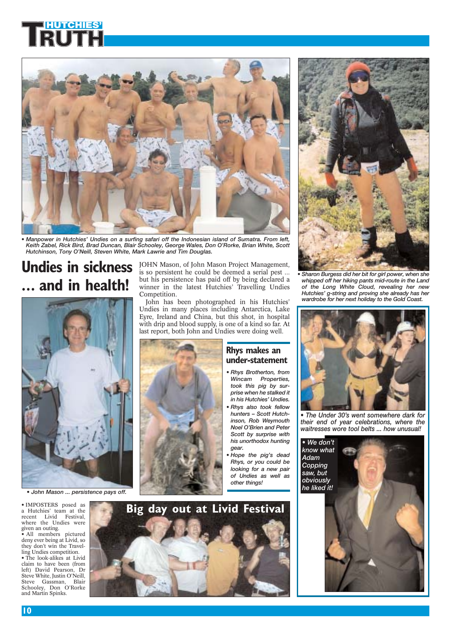

*• Manpower in Hutchies' Undies on a surfing safari off the Indonesian island of Sumatra. From left, Keith Zabel, Rick Bird, Brad Duncan, Blair Schooley, George Wales, Don O'Rorke, Brian White, Scott Hutchinson, Tony O'Neill, Steven White, Mark Lawrie and Tim Douglas.*

# **Undies in sickness ... and in health!**



*• John Mason ... persistence pays off.*

• IMPOSTERS posed as a Hutchies' team at the recent Livid Festival, where the Undies were given an outing.

• All members pictured deny ever being at Livid, so they don't win the Travelling Undies competition.

• The look-alikes at Livid claim to have been (from left) David Pearson, Dr Steve White, Justin O'Neill, Steve Gassman, Blair Schooley, Don O'Rorke and Martin Spinks.

JOHN Mason, of John Mason Project Management, is so persistent he could be deemed a serial pest ... but his persistence has paid off by being declared a winner in the latest Hutchies' Travelling Undies Competition.

John has been photographed in his Hutchies' Undies in many places including Antarctica, Lake Eyre, Ireland and China, but this shot, in hospital with drip and blood supply, is one of a kind so far. At last report, both John and Undies were doing well.



### **Rhys makes an under-statement**

- *Rhys Brotherton, from Wincam Properties, took this pig by surprise when he stalked it in his Hutchies' Undies.*
- *Rhys also took fellow hunters – Scott Hutchinson, Rob Weymouth Noel O'Brien and Peter Scott by surprise with his unorthodox hunting gear.*
- *Hope the pig's dead Rhys, or you could be looking for a new pair of Undies as well as other things!*





*• Sharon Burgess did her bit for girl power, when she whipped off her hiking pants mid-route in the Land of the Long White Cloud, revealing her new Hutchies' g-string and proving she already has her wardrobe for her next holiday to the Gold Coast.*



*• The Under 30's went somewhere dark for their end of year celebrations, where the waitresses wore tool belts ... how unusual!*

*• We don't know what Adam Copping saw, but obviously he liked it!*



**10**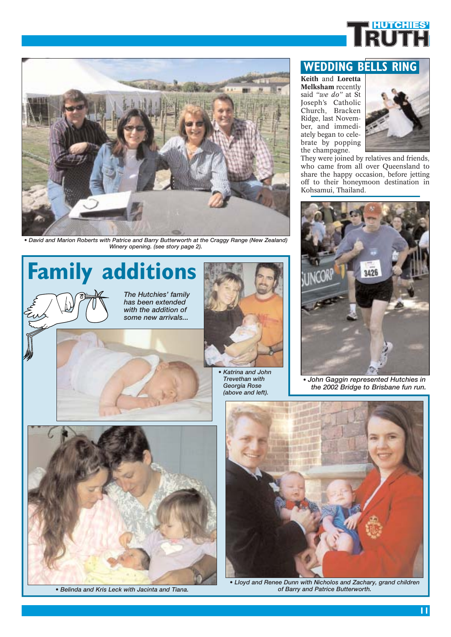



*• David and Marion Roberts with Patrice and Barry Butterworth at the Craggy Range (New Zealand) Winery opening. (see story page 2).*

# **Family additions**

*The Hutchies' family has been extended with the addition of some new arrivals...*



*• Katrina and John Trevethan with Georgia Rose (above and left).*

### **WEDDING BELLS RING**

**Keith** and **Loretta Melksham** recently said *"we do"* at St Joseph's Catholic Church, Bracken Ridge, last November, and immediately began to celebrate by popping the champagne.



They were joined by relatives and friends, who came from all over Queensland to share the happy occasion, before jetting off to their honeymoon destination in Kohsamui, Thailand.



• *John Gaggin represented Hutchies in the 2002 Bridge to Brisbane fun run.*





*• Lloyd and Renee Dunn with Nicholos and Zachary, grand children • Belinda and Kris Leck with Jacinta and Tiana. of Barry and Patrice Butterworth.*